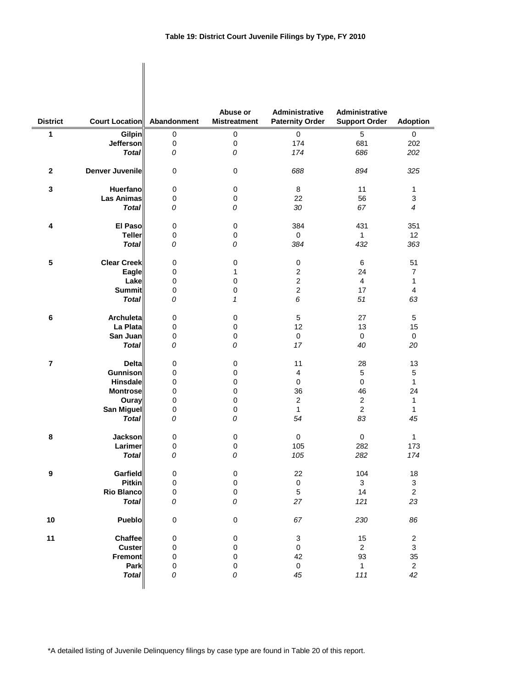| <b>District</b>  | Court Location Abandonment |                        | Abuse or<br><b>Mistreatment</b> | Administrative<br><b>Paternity Order</b> | Administrative<br><b>Support Order</b> | <b>Adoption</b>  |
|------------------|----------------------------|------------------------|---------------------------------|------------------------------------------|----------------------------------------|------------------|
| 1                | <b>Gilpin</b>              | 0                      | 0                               | $\pmb{0}$                                | 5                                      | 0                |
|                  | Jefferson                  | $\pmb{0}$              | 0                               | 174                                      | 681                                    | 202              |
|                  | <b>Total</b>               | 0                      | 0                               | 174                                      | 686                                    | 202              |
| $\mathbf{2}$     | <b>Denver Juvenile</b>     | 0                      | $\mathbf 0$                     | 688                                      | 894                                    | 325              |
| $\mathbf 3$      | <b>Huerfano</b>            | $\pmb{0}$              | $\pmb{0}$                       | 8                                        | 11                                     | 1                |
|                  | <b>Las Animas</b>          | 0                      | 0                               | 22                                       | 56                                     | 3                |
|                  | <b>Total</b>               | 0                      | 0                               | 30                                       | 67                                     | 4                |
| 4                | El Paso                    | $\pmb{0}$              | $\mathbf 0$                     | 384                                      | 431                                    | 351              |
|                  | <b>Teller</b>              | $\pmb{0}$              | 0                               | 0                                        | 1                                      | 12               |
|                  | <b>Total</b>               | 0                      | 0                               | 384                                      | 432                                    | 363              |
| 5                | <b>Clear Creek</b>         | 0                      | $\mathbf 0$                     | 0                                        | 6                                      | 51               |
|                  | Eagle                      | 0                      | 1                               | 2                                        | 24                                     | $\overline{7}$   |
|                  | Lake                       | $\mathbf 0$            | 0                               | $\overline{c}$                           | 4                                      | 1                |
|                  | <b>Summit</b>              | $\pmb{0}$              | 0                               | $\overline{c}$                           | 17                                     | 4                |
|                  | <b>Total</b>               | 0                      | 1                               | 6                                        | 51                                     | 63               |
| 6                | <b>Archuleta</b>           | 0                      | 0                               | 5                                        | 27                                     | 5                |
|                  | La Plata                   | 0                      | 0                               | 12                                       | 13                                     | 15               |
|                  | San Juan                   | $\pmb{0}$              | 0                               | 0                                        | 0                                      | $\mathbf 0$      |
|                  | <b>Total</b>               | 0                      | 0                               | 17                                       | 40                                     | 20               |
| $\overline{7}$   | <b>Delta</b>               | $\pmb{0}$              | $\pmb{0}$                       | 11                                       | 28                                     | 13               |
|                  | <b>Gunnison</b>            | 0                      | 0                               | 4                                        | 5                                      | 5                |
|                  | Hinsdale                   | 0                      | 0                               | 0                                        | 0                                      | 1                |
|                  | <b>Montrose</b>            | 0                      | 0                               | 36                                       | 46                                     | 24               |
|                  | Ouray<br><b>San Miguel</b> | $\pmb{0}$<br>$\pmb{0}$ | 0<br>0                          | $\boldsymbol{2}$<br>1                    | $\overline{c}$<br>$\overline{c}$       | 1<br>1           |
|                  | <b>Total</b>               | 0                      | 0                               | 54                                       | 83                                     | 45               |
| 8                |                            |                        |                                 |                                          |                                        | 1                |
|                  | Jackson<br><b>Larimer</b>  | $\pmb{0}$<br>0         | $\pmb{0}$<br>0                  | 0<br>105                                 | 0<br>282                               | 173              |
|                  | <b>Total</b>               | 0                      | 0                               | 105                                      | 282                                    | 174              |
| $\boldsymbol{9}$ | Garfield                   | $\pmb{0}$              | $\pmb{0}$                       | 22                                       | 104                                    | 18               |
|                  | <b>Pitkin</b>              | $\pmb{0}$              | $\pmb{0}$                       | $\mathsf{O}\xspace$                      | 3                                      | 3                |
|                  | <b>Rio Blanco</b>          | $\pmb{0}$              | $\pmb{0}$                       | 5                                        | 14                                     | $\overline{c}$   |
|                  | <b>Total</b>               | 0                      | 0                               | 27                                       | 121                                    | 23               |
| 10               | Pueblo                     | $\pmb{0}$              | $\pmb{0}$                       | 67                                       | 230                                    | 86               |
| 11               | <b>Chaffee</b>             | 0                      | $\pmb{0}$                       | 3                                        | 15                                     | $\boldsymbol{2}$ |
|                  | <b>Custer</b>              | 0                      | $\boldsymbol{0}$                | $\pmb{0}$                                | $\overline{\mathbf{c}}$                | 3                |
|                  | Fremont                    | $\pmb{0}$              | 0                               | 42                                       | 93                                     | 35               |
|                  | Park                       | $\pmb{0}$              | 0                               | $\pmb{0}$                                | 1                                      | $\overline{c}$   |
|                  | <b>Total</b>               | 0                      | 0                               | 45                                       | 111                                    | 42               |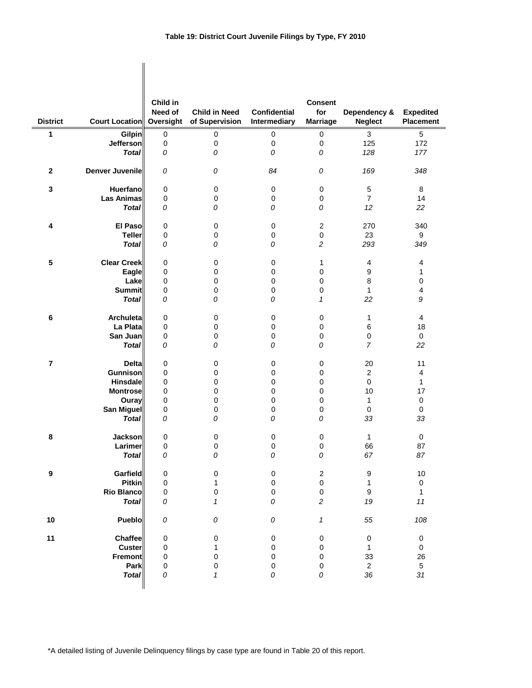| <b>District</b>         | <b>Court Location Oversight</b> | Child in<br>Need of | <b>Child in Need</b><br>of Supervision | <b>Confidential</b><br>Intermediary | <b>Consent</b><br>for<br><b>Marriage</b> | Dependency &<br><b>Neglect</b> | <b>Expedited</b><br><b>Placement</b> |
|-------------------------|---------------------------------|---------------------|----------------------------------------|-------------------------------------|------------------------------------------|--------------------------------|--------------------------------------|
| 1                       | <b>Gilpin</b>                   | $\pmb{0}$           | 0                                      | 0                                   | $\pmb{0}$                                | $\ensuremath{\mathsf{3}}$      | 5                                    |
|                         | <b>Jefferson</b>                | $\pmb{0}$           | 0                                      | 0                                   | 0                                        | 125                            | 172                                  |
|                         | <b>Total</b>                    | 0                   | 0                                      | 0                                   | 0                                        | 128                            | 177                                  |
|                         |                                 |                     |                                        |                                     |                                          |                                |                                      |
| 2                       | Denver Juvenile                 | 0                   | 0                                      | 84                                  | 0                                        | 169                            | 348                                  |
| 3                       | Huerfano                        | 0                   | 0                                      | 0                                   | 0                                        | $\mathbf 5$                    | 8                                    |
|                         | <b>Las Animas</b>               | 0                   | 0                                      | 0                                   | 0                                        | $\overline{7}$                 | 14                                   |
|                         | <b>Total</b>                    | 0                   | 0                                      | 0                                   | 0                                        | 12                             | 22                                   |
|                         |                                 |                     |                                        |                                     |                                          |                                |                                      |
| 4                       | El Paso                         | 0                   | 0                                      | $\pmb{0}$                           | $\boldsymbol{2}$                         | 270                            | 340                                  |
|                         | <b>Teller</b>                   | 0                   | 0                                      | 0                                   | $\pmb{0}$                                | 23                             | 9                                    |
|                         | <b>Total</b>                    | 0                   | 0                                      | 0                                   | $\overline{c}$                           | 293                            | 349                                  |
|                         |                                 |                     |                                        |                                     |                                          |                                |                                      |
| 5                       | <b>Clear Creek</b>              | 0                   | 0                                      | $\pmb{0}$                           | 1                                        | 4                              | 4                                    |
|                         | Eagle                           | 0                   | 0                                      | 0                                   | 0                                        | 9                              | 1                                    |
|                         | Lake                            | 0                   | 0                                      | 0                                   | 0                                        | 8                              | 0                                    |
|                         | <b>Summit</b>                   | 0                   | 0                                      | 0                                   | 0                                        | 1                              | 4                                    |
|                         | <b>Total</b>                    | 0                   | 0                                      | 0                                   | $\mathcal I$                             | 22                             | 9                                    |
| 6                       | <b>Archuletal</b>               | 0                   | 0                                      | 0                                   | 0                                        | 1                              | 4                                    |
|                         | La Plata                        | 0                   | 0                                      | 0                                   | 0                                        | 6                              | 18                                   |
|                         | San Juan                        | 0                   | 0                                      | $\pmb{0}$                           | $\pmb{0}$                                | 0                              | $\mathbf 0$                          |
|                         | <b>Total</b>                    | 0                   | 0                                      | 0                                   | 0                                        | $\overline{7}$                 | 22                                   |
|                         |                                 |                     |                                        |                                     |                                          |                                |                                      |
| $\overline{\mathbf{r}}$ | <b>Delta</b>                    | 0                   | 0                                      | 0                                   | 0                                        | 20                             | 11                                   |
|                         | Gunnison                        | 0                   | 0                                      | 0                                   | 0                                        | $\overline{2}$                 | 4                                    |
|                         | <b>Hinsdale</b>                 | 0                   | 0                                      | 0                                   | 0                                        | 0                              | 1                                    |
|                         | <b>Montrose</b>                 | 0                   | 0                                      | 0                                   | 0                                        | 10                             | 17                                   |
|                         | Ouray                           | 0                   | 0                                      | 0                                   | 0                                        | 1                              | 0                                    |
|                         | <b>San Miguel</b>               | 0                   | 0                                      | 0                                   | 0                                        | 0                              | 0                                    |
|                         | <b>Total</b>                    | 0                   | 0                                      | 0                                   | 0                                        | 33                             | 33                                   |
| 8                       | <b>Jackson</b>                  | 0                   | 0                                      | 0                                   | 0                                        | 1                              | 0                                    |
|                         | Larimer                         | 0                   | 0                                      | 0                                   | 0                                        | 66                             | 87                                   |
|                         | <b>Total</b>                    | 0                   | ${\cal O}$                             | ${\cal O}$                          | ${\cal O}$                               | 67                             | 87                                   |
|                         |                                 |                     |                                        |                                     |                                          |                                |                                      |
| 9                       | Garfield                        | $\pmb{0}$           | 0                                      | $\pmb{0}$                           | $\boldsymbol{2}$                         | 9                              | 10                                   |
|                         | <b>Pitkin</b>                   | 0                   | $\mathbf{1}$                           | $\pmb{0}$                           | $\pmb{0}$                                | $\mathbf 1$                    | 0                                    |
|                         | <b>Rio Blanco</b>               | $\pmb{0}$           | 0                                      | $\pmb{0}$                           | $\pmb{0}$                                | $\boldsymbol{9}$               | $\mathbf{1}$                         |
|                         | <b>Total</b>                    | 0                   | $\mathbf{1}$                           | 0                                   | $\sqrt{2}$                               | 19                             | 11                                   |
|                         |                                 |                     |                                        |                                     |                                          |                                |                                      |
| 10                      | Pueblo                          | 0                   | 0                                      | ${\cal O}$                          | 1                                        | 55                             | 108                                  |
| 11                      | Chaffee                         |                     |                                        |                                     |                                          |                                |                                      |
|                         | Custer                          | $\pmb{0}$<br>0      | 0<br>1                                 | 0<br>$\pmb{0}$                      | 0<br>0                                   | $\boldsymbol{0}$<br>1          | 0<br>$\pmb{0}$                       |
|                         | <b>Fremont</b>                  | 0                   | 0                                      | 0                                   | 0                                        | 33                             | 26                                   |
|                         | Park                            | 0                   | 0                                      | $\pmb{0}$                           | 0                                        | $\mathbf{2}$                   | $\sqrt{5}$                           |
|                         | <b>Total</b>                    | 0                   | $\mathbf{1}$                           | 0                                   | 0                                        | 36                             | 31                                   |
|                         |                                 |                     |                                        |                                     |                                          |                                |                                      |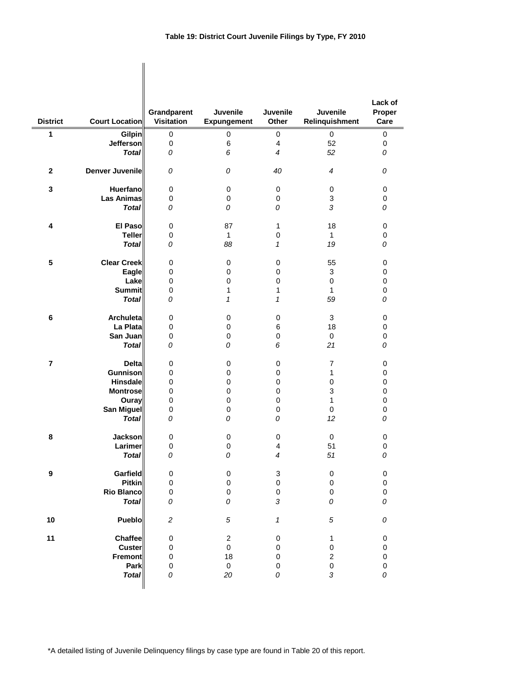|                 |                       |                                  |                                |                            |                            | Lack of        |
|-----------------|-----------------------|----------------------------------|--------------------------------|----------------------------|----------------------------|----------------|
| <b>District</b> | <b>Court Location</b> | Grandparent<br><b>Visitation</b> | <b>Juvenile</b><br>Expungement | <b>Juvenile</b><br>Other   | Juvenile<br>Relinquishment | Proper<br>Care |
| 1               | <b>Gilpin</b>         | 0                                | $\pmb{0}$                      | $\mathbf 0$                | 0                          | 0              |
|                 | <b>Jefferson</b>      | 0                                | 6                              | $\overline{4}$             | 52                         | 0              |
|                 | <b>Total</b>          | 0                                | 6                              | 4                          | 52                         | 0              |
| $\mathbf{2}$    | Denver Juvenile       | 0                                | 0                              | 40                         | $\overline{4}$             | 0              |
| 3               | Huerfano              | 0                                | 0                              | 0                          | 0                          | 0              |
|                 | <b>Las Animas</b>     | 0                                | 0                              | 0                          | 3                          | 0              |
|                 | <b>Total</b>          | 0                                | 0                              | 0                          | $\sqrt{3}$                 | 0              |
| 4               | <b>El Paso</b>        | 0                                | 87                             | 1                          | 18                         | 0              |
|                 | <b>Teller</b>         | 0                                | $\mathbf{1}$                   | 0                          | $\mathbf{1}$               | 0              |
|                 | <b>Total</b>          | 0                                | 88                             | 1                          | 19                         | 0              |
| 5               | <b>Clear Creek</b>    | 0                                | 0                              | 0                          | 55                         | 0              |
|                 | Eagle                 | 0                                | 0                              | 0                          | 3                          | 0              |
|                 | Lake                  | 0                                | 0                              | 0                          | $\mathbf 0$                | 0              |
|                 | Summit                | 0                                | 1                              | 1                          | 1                          | 0              |
|                 | <b>Total</b>          | 0                                | 1                              | 1                          | 59                         | 0              |
| 6               | Archuleta             | 0                                | 0                              | 0                          | 3                          | 0              |
|                 | La Plata              | 0                                | 0                              | 6                          | 18                         | 0              |
|                 | San Juan              | 0                                | 0                              | 0                          | $\pmb{0}$                  | 0              |
|                 | <b>Total</b>          | 0                                | 0                              | 6                          | 21                         | 0              |
| $\overline{7}$  | <b>Delta</b>          | 0                                | 0                              | 0                          | $\overline{7}$             | 0              |
|                 | Gunnison              | 0                                | 0                              | 0                          | 1                          | 0              |
|                 | Hinsdale              | 0                                | 0                              | 0                          | 0                          | 0              |
|                 | <b>Montrose</b>       | 0                                | 0                              | 0                          | 3                          | 0              |
|                 | Ouray                 | 0                                | 0                              | 0                          | 1                          | 0              |
|                 | <b>San Miguel</b>     | 0                                | 0                              | 0                          | 0                          | 0              |
|                 | <b>Total</b>          | 0                                | 0                              | 0                          | 12                         | 0              |
| 8               | <b>Jackson</b>        | 0                                | 0                              | 0                          | 0                          | 0              |
|                 | Larimer               | 0                                | 0                              | 4                          | 51                         | 0              |
|                 | Total                 | 0                                | 0                              | 4                          | 51                         | 0              |
| 9               | Garfield              | 0                                | $\pmb{0}$                      | 3                          | $\pmb{0}$                  | 0              |
|                 | <b>Pitkin</b>         | 0                                | $\mathbf 0$                    | $\mathbf 0$                | 0                          | $\pmb{0}$      |
|                 | <b>Rio Blanco</b>     | $\pmb{0}$                        | 0                              | $\pmb{0}$                  | 0                          | $\pmb{0}$      |
|                 | <b>Total</b>          | 0                                | 0                              | 3                          | 0                          | 0              |
| 10              | Pueblo                | $\overline{c}$                   | 5                              | $\boldsymbol{\mathcal{I}}$ | $\sqrt{5}$                 | 0              |
| 11              | <b>Chaffee</b>        | 0                                | $\overline{c}$                 | 0                          | 1                          | 0              |
|                 | <b>Custer</b>         | $\pmb{0}$                        | $\pmb{0}$                      | 0                          | $\pmb{0}$                  | 0              |
|                 | Fremont               | 0                                | 18                             | $\mathbf 0$                | $\overline{c}$             | $\pmb{0}$      |
|                 | Park                  | $\pmb{0}$                        | $\pmb{0}$                      | 0                          | $\mathbf 0$                | $\pmb{0}$      |
|                 | <b>Total</b>          | 0                                | 20                             | 0                          | $\sqrt{3}$                 | 0              |
|                 |                       |                                  |                                |                            |                            |                |

 $\mathbf{I}$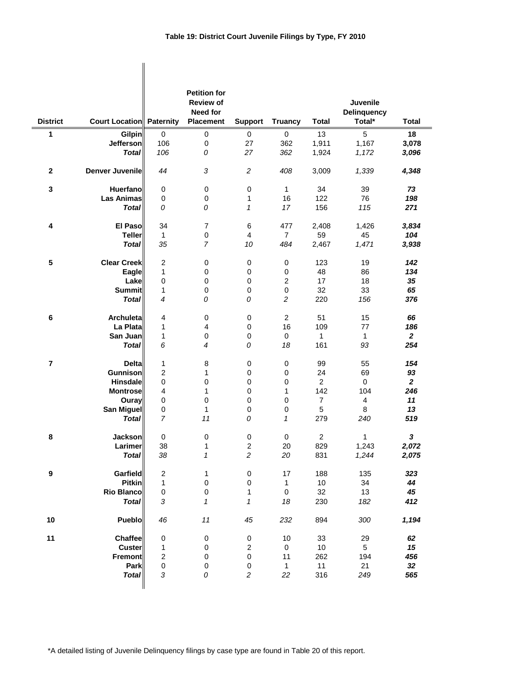| <b>District</b>         | Court Location Paternity |                         | <b>Petition for</b><br><b>Review of</b><br><b>Need for</b><br>Placement | <b>Support</b>   | <b>Truancy</b> | <b>Total</b>   | Juvenile<br><b>Delinquency</b><br>Total* | <b>Total</b>   |
|-------------------------|--------------------------|-------------------------|-------------------------------------------------------------------------|------------------|----------------|----------------|------------------------------------------|----------------|
| 1                       | <b>Gilpin</b>            | 0                       | $\mathbf 0$                                                             | 0                | 0              | 13             | 5                                        | 18             |
|                         | <b>Jefferson</b>         | 106                     | $\pmb{0}$                                                               | 27               | 362            | 1,911          | 1,167                                    | 3,078          |
|                         | <b>Total</b>             | 106                     | 0                                                                       | 27               | 362            | 1,924          | 1,172                                    | 3,096          |
| $\mathbf 2$             | Denver Juvenile          | 44                      | $\sqrt{3}$                                                              | $\overline{c}$   | 408            | 3,009          | 1,339                                    | 4,348          |
| 3                       | Huerfano                 | 0                       | $\pmb{0}$                                                               | $\mathbf 0$      | $\mathbf{1}$   | 34             | 39                                       | 73             |
|                         | <b>Las Animas</b>        | 0                       | $\mathbf 0$                                                             | 1                | 16             | 122            | 76                                       | 198            |
|                         | <b>Total</b>             | 0                       | 0                                                                       | $\mathbf{1}$     | 17             | 156            | 115                                      | 271            |
| 4                       | El Paso                  | 34                      | $\overline{7}$                                                          | 6                | 477            | 2,408          | 1,426                                    | 3,834          |
|                         | <b>Teller</b>            | 1                       | $\pmb{0}$                                                               | $\overline{4}$   | $\overline{7}$ | 59             | 45                                       | 104            |
|                         | <b>Total</b>             | 35                      | $\overline{7}$                                                          | 10               | 484            | 2,467          | 1,471                                    | 3,938          |
|                         |                          |                         |                                                                         |                  |                |                |                                          |                |
| 5                       | <b>Clear Creek</b>       | 2                       | $\pmb{0}$                                                               | $\mathbf 0$      | 0              | 123            | 19                                       | 142            |
|                         | Eagle                    | 1                       | $\mathbf 0$                                                             | 0                | 0              | 48             | 86                                       | 134            |
|                         | Lake                     | 0                       | $\mathbf 0$                                                             | 0                | $\overline{c}$ | 17             | 18                                       | 35             |
|                         | <b>Summit</b>            | 1                       | $\mathbf 0$                                                             | $\mathbf 0$      | 0              | 32             | 33                                       | 65             |
|                         | <b>Total</b>             | 4                       | 0                                                                       | 0                | $\overline{c}$ | 220            | 156                                      | 376            |
| 6                       | Archuleta                | 4                       | $\mathbf 0$                                                             | $\mathbf 0$      | $\overline{2}$ | 51             | 15                                       | 66             |
|                         | La Plata                 | 1                       | $\overline{\mathbf{4}}$                                                 | $\mathbf 0$      | 16             | 109            | 77                                       | 186            |
|                         | San Juan                 | 1                       | $\mathbf 0$                                                             | $\mathbf 0$      | 0              | $\mathbf{1}$   | $\mathbf{1}$                             | $\overline{2}$ |
|                         | <b>Total</b>             | 6                       | $\overline{4}$                                                          | 0                | 18             | 161            | 93                                       | 254            |
| $\overline{\mathbf{r}}$ | <b>Delta</b>             | 1                       | 8                                                                       | 0                | $\mathbf 0$    | 99             | 55                                       | 154            |
|                         | <b>Gunnison</b>          | $\overline{c}$          | 1                                                                       | 0                | 0              | 24             | 69                                       | 93             |
|                         | <b>Hinsdale</b>          | 0                       | 0                                                                       | $\pmb{0}$        | 0              | $\overline{2}$ | 0                                        | $\mathbf{2}$   |
|                         | <b>Montrose</b>          | 4                       | 1                                                                       | 0                | 1              | 142            | 104                                      | 246            |
|                         | Ouray                    | 0                       | $\mathbf 0$                                                             | 0                | 0              | 7              | 4                                        | 11             |
|                         | <b>San Miguel</b>        | 0                       | $\mathbf{1}$                                                            | $\mathbf 0$      | 0              | 5              | 8                                        | 13             |
|                         | <b>Total</b>             | $\overline{7}$          | 11                                                                      | 0                | 1              | 279            | 240                                      | 519            |
| 8                       | Jackson                  | 0                       | 0                                                                       | $\mathbf 0$      | 0              | 2              | 1                                        | 3              |
|                         | Larimer                  | 38                      | 1                                                                       | $\overline{2}$   | 20             | 829            | 1,243                                    | 2,072          |
|                         | <b>Total</b>             | 38                      | 1                                                                       | $\sqrt{2}$       | 20             | 831            | 1,244                                    | 2,075          |
| $\boldsymbol{9}$        | Garfield                 | $\mathbf 2$             | 1                                                                       | $\pmb{0}$        | 17             | 188            | 135                                      | 323            |
|                         | Pitkin                   | 1                       | $\mathbf 0$                                                             | $\pmb{0}$        | $\mathbf{1}$   | $10\,$         | 34                                       | 44             |
|                         | <b>Rio Blanco</b>        | $\mathsf 0$             | $\mathbf 0$                                                             | 1                | $\mathbf 0$    | 32             | 13                                       | 45             |
|                         | <b>Total</b>             | 3                       | $\mathbf{1}$                                                            | 1                | 18             | 230            | 182                                      | 412            |
| 10                      | Pueblo                   | 46                      | 11                                                                      | 45               | 232            | 894            | 300                                      | 1,194          |
| 11                      | <b>Chaffee</b>           | $\mathbf 0$             | $\pmb{0}$                                                               | $\pmb{0}$        | 10             | 33             | 29                                       | 62             |
|                         | <b>Custer</b>            | 1                       | $\pmb{0}$                                                               | $\boldsymbol{2}$ | 0              | $10$           | 5                                        | 15             |
|                         | Fremont                  | $\overline{\mathbf{c}}$ | $\pmb{0}$                                                               | $\pmb{0}$        | 11             | 262            | 194                                      | 456            |
|                         | Park                     | $\mathsf 0$             | $\mathbf 0$                                                             | $\pmb{0}$        | $\mathbf{1}$   | 11             | 21                                       | 32             |
|                         | <b>Total</b>             | 3                       | 0                                                                       | $\boldsymbol{2}$ | 22             | 316            | 249                                      | 565            |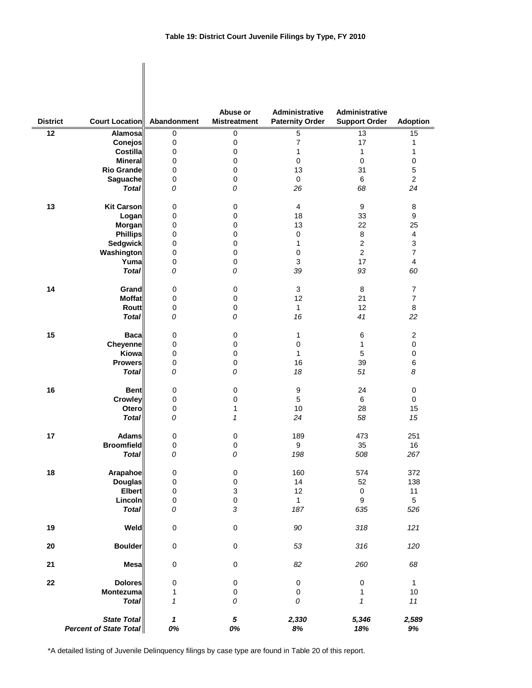$\begin{array}{c} \hline \end{array}$ 

| <b>District</b> | <b>Court Location</b>                               | Abandonment                      | Abuse or<br><b>Mistreatment</b> | Administrative<br><b>Paternity Order</b> | <b>Administrative</b><br><b>Support Order</b> | <b>Adoption</b> |
|-----------------|-----------------------------------------------------|----------------------------------|---------------------------------|------------------------------------------|-----------------------------------------------|-----------------|
| 12              | Alamosa                                             | 0                                | $\pmb{0}$                       | 5                                        | 13                                            | 15              |
|                 | Conejos                                             | 0                                | 0                               | 7                                        | 17                                            | 1               |
|                 | <b>Costilla</b>                                     | 0                                | 0                               | 1                                        | $\mathbf{1}$                                  | 1               |
|                 | <b>Mineral</b>                                      | 0                                | 0                               | 0                                        | 0                                             | 0               |
|                 | <b>Rio Grande</b>                                   | 0                                | 0                               | 13                                       | 31                                            | 5               |
|                 | Saguache                                            | 0                                | 0                               | $\mathbf 0$                              | 6                                             | $\overline{2}$  |
|                 | <b>Total</b>                                        | 0                                | 0                               | 26                                       | 68                                            | 24              |
| 13              | <b>Kit Carson</b>                                   | 0                                | 0                               | 4                                        | 9                                             | 8               |
|                 | Logan                                               | 0                                | 0                               | 18                                       | 33                                            | 9               |
|                 | Morgan                                              | 0                                | 0                               | 13                                       | 22                                            | 25              |
|                 | <b>Phillips</b>                                     | 0                                | 0                               | $\pmb{0}$                                | 8                                             | 4               |
|                 | <b>Sedgwick</b>                                     | 0                                | 0                               | 1                                        | $\overline{c}$                                | 3               |
|                 | Washington                                          | 0                                | 0                               | $\pmb{0}$                                | $\overline{c}$                                | 7               |
|                 | Yuma                                                | 0                                | 0                               | 3                                        | 17                                            | 4               |
|                 | <b>Total</b>                                        | 0                                | 0                               | 39                                       | 93                                            | 60              |
| 14              | Grand                                               | 0                                | $\pmb{0}$                       | 3                                        | 8                                             | $\overline{7}$  |
|                 | <b>Moffat</b>                                       | 0                                | 0                               | 12                                       | 21                                            | $\overline{7}$  |
|                 | <b>Routt</b>                                        | 0                                | 0                               | $\mathbf{1}$                             | 12                                            | 8               |
|                 | <b>Total</b>                                        | 0                                | 0                               | 16                                       | 41                                            | 22              |
| 15              | <b>Baca</b>                                         | 0                                | 0                               | 1                                        | 6                                             | 2               |
|                 | Cheyenne                                            | 0                                | 0                               | 0                                        | 1                                             | 0               |
|                 | Kiowa                                               | 0                                | 0                               | $\mathbf{1}$                             | 5                                             | 0               |
|                 | <b>Prowers</b>                                      | 0                                | 0                               | 16                                       | 39                                            | 6               |
|                 | <b>Total</b>                                        | 0                                | 0                               | 18                                       | 51                                            | 8               |
| 16              | <b>Bent</b>                                         | 0                                | 0                               | 9                                        | 24                                            | $\mathbf 0$     |
|                 | <b>Crowley</b>                                      | 0                                | 0                               | 5                                        | 6                                             | $\mathbf 0$     |
|                 | Otero                                               | 0                                | 1                               | 10                                       | 28                                            | 15              |
|                 | <b>Total</b>                                        | 0                                | 1                               | 24                                       | 58                                            | 15              |
| 17              | <b>Adams</b>                                        | 0                                | 0                               | 189                                      | 473                                           | 251             |
|                 | <b>Broomfield</b>                                   | 0                                | $\mathbf 0$                     | 9                                        | 35                                            | 16              |
|                 | <b>Total</b>                                        | 0                                | 0                               | 198                                      | 508                                           | 267             |
| 18              | <b>Arapahoe</b>                                     | 0                                | 0                               | 160                                      | 574                                           | 372             |
|                 | <b>Douglas</b>                                      | $\mathsf 0$                      | $\mathbf 0$                     | 14                                       | 52                                            | 138             |
|                 | <b>Elbert</b>                                       | 0                                | $\ensuremath{\mathsf{3}}$       | 12                                       | $\mathbf 0$                                   | 11              |
|                 | Lincoln                                             | 0                                | $\mathbf 0$                     | $\mathbf{1}$                             | $\boldsymbol{9}$                              | 5               |
|                 | <b>Total</b>                                        | 0                                | $\sqrt{3}$                      | 187                                      | 635                                           | 526             |
| 19              | Weld                                                | $\pmb{0}$                        | $\pmb{0}$                       | 90                                       | 318                                           | 121             |
| $20\,$          | <b>Boulder</b>                                      | $\pmb{0}$                        | $\pmb{0}$                       | 53                                       | 316                                           | 120             |
| 21              | <b>Mesa</b>                                         | $\pmb{0}$                        | $\pmb{0}$                       | 82                                       | 260                                           | 68              |
| 22              | <b>Dolores</b>                                      | 0                                | $\pmb{0}$                       | $\pmb{0}$                                | 0                                             | $\mathbf{1}$    |
|                 | Montezuma                                           | 1                                | $\pmb{0}$                       | 0                                        | 1                                             | $10$            |
|                 | <b>Total</b>                                        | $\boldsymbol{\mathcal{L}}$       | ${\cal O}$                      | 0                                        | $\pmb{\mathcal{1}}$                           | 11              |
|                 | <b>State Total</b><br><b>Percent of State Total</b> | $\boldsymbol{\mathcal{L}}$<br>0% | ${\bf 5}$<br>0%                 | 2,330<br>$8\%$                           | 5,346<br>18%                                  | 2,589<br>$9\%$  |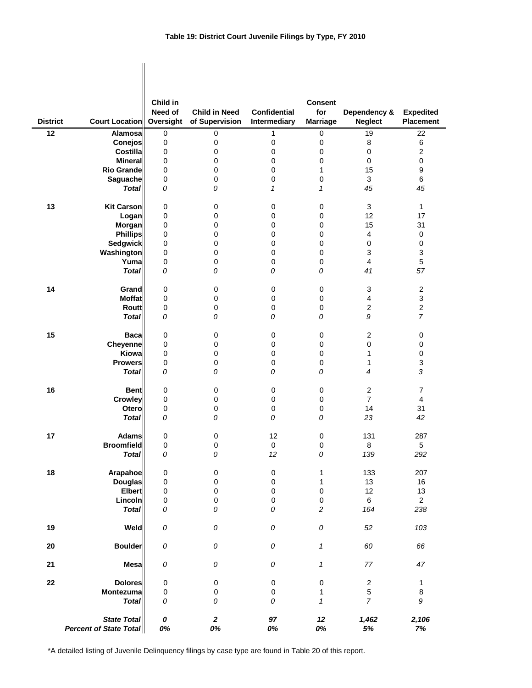## **Table 19: District Court Juvenile Filings by Type, FY 2010**

| <b>District</b> | <b>Court Location</b>                        | Child in<br>Need of<br>Oversight | <b>Child in Need</b><br>of Supervision | <b>Confidential</b><br>Intermediary | <b>Consent</b><br>for<br><b>Marriage</b> | Dependency &<br><b>Neglect</b> | <b>Expedited</b><br>Placement |
|-----------------|----------------------------------------------|----------------------------------|----------------------------------------|-------------------------------------|------------------------------------------|--------------------------------|-------------------------------|
| 12              | <b>Alamosa</b>                               | $\pmb{0}$                        | 0                                      | 1                                   | 0                                        | 19                             | 22                            |
|                 | Conejos                                      | 0                                | $\pmb{0}$                              | 0                                   | 0                                        | 8                              | $\,6$                         |
|                 | <b>Costilla</b>                              | 0                                | $\pmb{0}$                              | 0                                   | 0                                        | $\pmb{0}$                      | $\sqrt{2}$                    |
|                 | <b>Mineral</b>                               | 0                                | 0                                      | 0                                   | 0                                        | $\mathbf 0$                    | $\pmb{0}$                     |
|                 | <b>Rio Grande</b>                            |                                  | $\pmb{0}$                              | 0                                   | $\mathbf{1}$                             | 15                             | $\boldsymbol{9}$              |
|                 |                                              | 0<br>0                           | $\pmb{0}$                              | 0                                   | $\pmb{0}$                                | 3                              | $\,6\,$                       |
|                 | Saguache<br><b>Total</b>                     |                                  | 0                                      | 1                                   | 1                                        | 45                             | 45                            |
|                 |                                              | 0                                |                                        |                                     |                                          |                                |                               |
| 13              | <b>Kit Carson</b>                            | 0                                | 0                                      | 0                                   | 0                                        | 3                              | $\mathbf{1}$                  |
|                 | Logan                                        | 0                                | 0                                      | 0                                   | $\pmb{0}$                                | 12                             | 17                            |
|                 | <b>Morgan</b>                                | 0                                | 0                                      | 0                                   | 0                                        | 15                             | 31                            |
|                 | <b>Phillips</b>                              | 0                                | 0                                      | 0                                   | 0                                        | $\overline{\mathbf{4}}$        | $\pmb{0}$                     |
|                 | <b>Sedgwick</b>                              | 0                                | 0                                      | 0                                   | 0                                        | $\pmb{0}$                      | 0                             |
|                 | Washington                                   | 0                                | $\pmb{0}$                              | 0                                   | 0                                        | 3                              | 3                             |
|                 | Yuma                                         | 0                                | 0                                      | 0                                   | 0                                        | $\overline{\mathbf{4}}$        | $\mathbf 5$                   |
|                 | <b>Total</b>                                 | 0                                | 0                                      | 0                                   | 0                                        | 41                             | 57                            |
| 14              | Grand                                        | 0                                | 0                                      | 0                                   | $\pmb{0}$                                | 3                              | $\sqrt{2}$                    |
|                 | <b>Moffat</b>                                | 0                                | $\pmb{0}$                              | 0                                   | $\pmb{0}$                                | 4                              | 3                             |
|                 | <b>Routt</b>                                 | 0                                | $\pmb{0}$                              | 0                                   | 0                                        | $\overline{c}$                 | $\mathbf 2$                   |
|                 | <b>Total</b>                                 | 0                                | 0                                      | 0                                   | 0                                        | 9                              | $\overline{7}$                |
| 15              | <b>Baca</b>                                  | 0                                | 0                                      | 0                                   | 0                                        | $\overline{c}$                 | 0                             |
|                 | Cheyenne                                     | 0                                | 0                                      | 0                                   | 0                                        | 0                              | 0                             |
|                 | Kiowa                                        | 0                                | $\mathbf 0$                            | 0                                   | 0                                        | 1                              | $\pmb{0}$                     |
|                 | <b>Prowers</b>                               | 0                                | 0                                      | 0                                   | $\pmb{0}$                                | 1                              | $\ensuremath{\mathsf{3}}$     |
|                 | <b>Total</b>                                 | 0                                | 0                                      | 0                                   | 0                                        | 4                              | 3                             |
| 16              | <b>Bent</b>                                  | 0                                | 0                                      | 0                                   | 0                                        | $\overline{c}$                 | 7                             |
|                 | Crowley                                      | 0                                | $\pmb{0}$                              | 0                                   | 0                                        | $\overline{7}$                 | $\overline{4}$                |
|                 | Otero                                        | 0                                | 0                                      | 0                                   | $\pmb{0}$                                | 14                             | 31                            |
|                 | <b>Total</b>                                 | 0                                | 0                                      | 0                                   | 0                                        | 23                             | 42                            |
| 17              | <b>Adams</b>                                 | 0                                | 0                                      | 12                                  | 0                                        | 131                            | 287                           |
|                 | <b>Broomfield</b>                            | 0                                | $\mathbf 0$                            | 0                                   | 0                                        | 8                              | 5                             |
|                 | <b>Total</b>                                 | ${\cal O}$                       | 0                                      | $12\,$                              | 0                                        | 139                            | 292                           |
| 18              | Arapahoe                                     | $\pmb{0}$                        | $\pmb{0}$                              | 0                                   | 1                                        | 133                            | 207                           |
|                 | <b>Douglas</b>                               | 0                                | $\pmb{0}$                              | $\pmb{0}$                           | $\mathbf{1}$                             | 13                             | 16                            |
|                 | <b>Elbert</b>                                | 0                                | $\pmb{0}$                              | 0                                   | 0                                        | 12                             | 13                            |
|                 | Lincoln                                      | 0                                | $\pmb{0}$                              | 0                                   | $\pmb{0}$                                | $\,6\,$                        | $\overline{2}$                |
|                 | <b>Total</b>                                 | 0                                | 0                                      | 0                                   | $\boldsymbol{2}$                         | 164                            | 238                           |
| 19              | Weld                                         | 0                                | 0                                      | ${\cal O}$                          | ${\cal O}$                               | 52                             | 103                           |
| 20              | <b>Boulder</b>                               | 0                                | 0                                      | ${\cal O}$                          | $\mathbf{1}$                             | 60                             | 66                            |
| 21              | <b>Mesa</b>                                  | 0                                | 0                                      | ${\cal O}$                          | 1                                        | 77                             | 47                            |
| ${\bf 22}$      | <b>Dolores</b>                               | $\pmb{0}$                        | $\pmb{0}$                              | 0                                   | 0                                        | $\overline{c}$                 | $\mathbf{1}$                  |
|                 | Montezuma                                    | 0                                | $\pmb{0}$                              | $\pmb{0}$                           | 1                                        | 5                              | 8                             |
|                 | <b>Total</b>                                 | 0                                | 0                                      | ${\cal O}$                          | 1                                        | $\overline{7}$                 | $\boldsymbol{9}$              |
|                 | <b>State Total</b><br>Percent of State Total | 0<br>0%                          | $\boldsymbol{2}$<br>0%                 | 97<br>0%                            | 12<br>0%                                 | 1,462<br>$5\%$                 | 2,106<br>7%                   |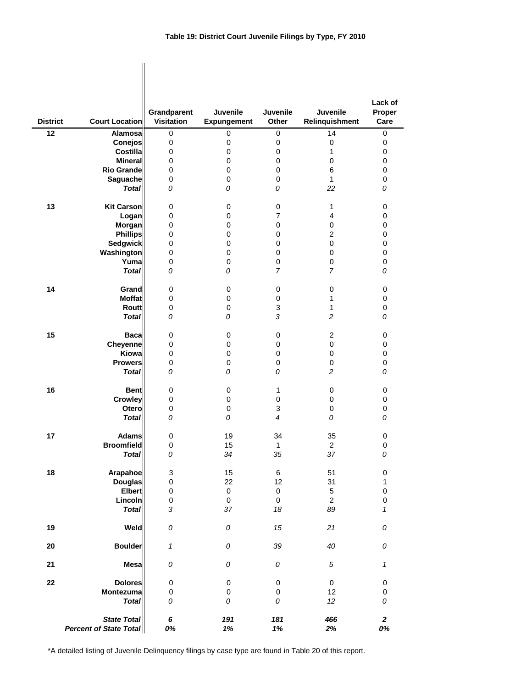| <b>District</b> | <b>Court Location</b>                               | Grandparent<br><b>Visitation</b> | Juvenile<br><b>Expungement</b> | Juvenile<br>Other   | Juvenile<br>Relinquishment | Lack of<br>Proper<br>Care |
|-----------------|-----------------------------------------------------|----------------------------------|--------------------------------|---------------------|----------------------------|---------------------------|
| 12              | <b>Alamosa</b>                                      | 0                                | 0                              | 0                   | 14                         | 0                         |
|                 | Conejos                                             | 0                                | 0                              | $\mathbf 0$         | 0                          | 0                         |
|                 | <b>Costilla</b>                                     | 0                                | $\pmb{0}$                      | $\mathbf 0$         | 1                          | 0                         |
|                 | <b>Mineral</b><br><b>Rio Grande</b>                 | 0<br>0                           | 0<br>$\mathbf 0$               | 0<br>$\mathbf 0$    | 0<br>$\,6$                 | 0<br>0                    |
|                 | Saguache                                            | 0                                | 0                              | 0                   | $\mathbf{1}$               | 0                         |
|                 | <b>Total</b>                                        | 0                                | 0                              | 0                   | 22                         | 0                         |
| 13              | <b>Kit Carson</b>                                   | 0                                | $\mathbf 0$                    | 0                   | 1                          | 0                         |
|                 | Logan                                               | 0                                | 0                              | $\overline{7}$      | 4                          | 0                         |
|                 | Morgan                                              | 0                                | 0                              | $\mathbf 0$         | 0                          | 0                         |
|                 | <b>Phillips</b>                                     | 0                                | 0                              | 0                   | $\overline{2}$             | 0                         |
|                 | Sedgwick                                            | 0                                | 0                              | 0                   | 0                          | 0                         |
|                 | Washington                                          | 0                                | 0                              | 0                   | 0                          | 0                         |
|                 | Yuma                                                | 0                                | 0                              | 0                   | 0                          | 0                         |
|                 | <b>Total</b>                                        | 0                                | 0                              | $\overline{7}$      | 7                          | 0                         |
| 14              | Grand                                               | 0                                | 0                              | 0                   | 0                          | 0                         |
|                 | <b>Moffat</b>                                       | 0                                | $\pmb{0}$                      | 0                   | 1                          | 0                         |
|                 | <b>Routt</b>                                        | 0                                | 0                              | 3                   | 1                          | 0                         |
|                 | <b>Total</b>                                        | 0                                | 0                              | 3                   | $\overline{c}$             | 0                         |
| 15              | <b>Baca</b>                                         | 0                                | 0                              | 0                   | $\overline{c}$             | 0                         |
|                 | Cheyenne                                            | 0                                | $\pmb{0}$                      | $\mathbf 0$         | 0                          | 0                         |
|                 | Kiowa                                               | 0                                | 0                              | 0                   | 0                          | 0                         |
|                 | <b>Prowers</b>                                      | 0                                | $\pmb{0}$                      | 0                   | 0                          | 0                         |
|                 | <b>Total</b>                                        | 0                                | 0                              | 0                   | $\overline{c}$             | 0                         |
| 16              | <b>Bent</b>                                         | 0                                | 0                              | $\mathbf{1}$        | 0                          | 0                         |
|                 | <b>Crowley</b>                                      | 0                                | 0                              | $\mathbf 0$         | 0                          | 0                         |
|                 | Otero                                               | 0                                | 0                              | 3                   | 0                          | 0                         |
|                 | <b>Total</b>                                        | 0                                | 0                              | $\overline{4}$      | 0                          | 0                         |
| 17              | <b>Adams</b>                                        | 0                                | 19                             | 34                  | 35                         | 0                         |
|                 | <b>Broomfield</b>                                   | 0                                | 15                             | 1                   | $\overline{2}$             | 0                         |
|                 | <b>Total</b>                                        | 0                                | 34                             | 35                  | 37                         | 0                         |
| 18              | Arapahoe                                            | 3                                | 15                             | 6                   | 51                         | $\pmb{0}$                 |
|                 | <b>Douglas</b>                                      | $\pmb{0}$                        | 22                             | 12                  | 31                         | $\mathbf{1}$              |
|                 | <b>Elbert</b>                                       | $\pmb{0}$                        | $\pmb{0}$                      | $\mathsf{O}\xspace$ | 5                          | $\pmb{0}$                 |
|                 | Lincoln                                             | $\pmb{0}$                        | $\mathbf 0$                    | $\mathbf 0$         | $\overline{2}$             | $\mathsf 0$               |
|                 | <b>Total</b>                                        | 3                                | 37                             | 18                  | 89                         | 1                         |
| 19              | Weld                                                | 0                                | 0                              | 15                  | 21                         | 0                         |
| 20              | <b>Boulder</b>                                      | $\mathbf{1}$                     | 0                              | 39                  | 40                         | 0                         |
| 21              | <b>Mesa</b>                                         | 0                                | ${\cal O}$                     | ${\cal O}$          | 5                          | $\pmb{\mathcal{1}}$       |
| 22              | <b>Dolores</b>                                      | 0                                | $\pmb{0}$                      | $\pmb{0}$           | $\pmb{0}$                  | 0                         |
|                 | Montezuma                                           | 0                                | 0                              | $\pmb{0}$           | 12                         | $\pmb{0}$                 |
|                 | <b>Total</b>                                        | 0                                | 0                              | 0                   | 12                         | 0                         |
|                 | <b>State Total</b><br><b>Percent of State Total</b> | 6<br>0%                          | 191<br>1%                      | 181<br>1%           | 466<br>2%                  | $\boldsymbol{2}$<br>0%    |